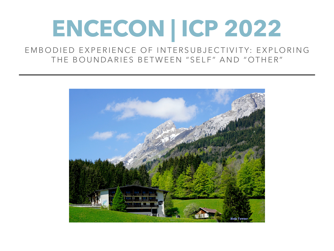## **ENCECON | ICP 2022**

EMBODIED EXPERIENCE OF INTERSUBJECTIVITY: EXPLORING THE BOUNDARIES BETWEEN "SELF" AND "OTHER"

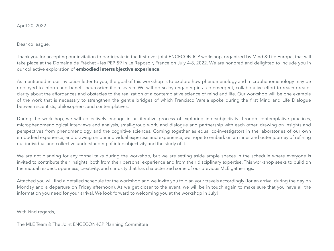April 20, 2022

Dear colleague,

Thank you for accepting our invitation to participate in the first-ever joint ENCECON-ICP workshop, organized by Mind & Life Europe, that will take place at the Domaine de Fréchet - les PEP 59 in Le Reposoir, France on July 4-8, 2022. We are honored and delighted to include you in our collective exploration of **embodied intersubjective experience**.

As mentioned in our invitation letter to you, the goal of this workshop is to explore how phenomenology and microphenomenology may be deployed to inform and benefit neuroscientific research. We will do so by engaging in a co-emergent, collaborative effort to reach greater clarity about the affordances and obstacles to the realization of a contemplative science of mind and life. Our workshop will be one example of the work that is necessary to strengthen the gentle bridges of which Francisco Varela spoke during the first Mind and Life Dialogue between scientists, philosophers, and contemplatives.

During the workshop, we will collectively engage in an iterative process of exploring intersubjectivity through contemplative practices, microphenomenological interviews and analysis, small-group work, and dialogue and partnership with each other, drawing on insights and perspectives from phenomenology and the cognitive sciences. Coming together as equal co-investigators in the laboratories of our own embodied experience, and drawing on our individual expertise and experience, we hope to embark on an inner and outer journey of refining our individual and collective understanding of intersubjectivity and the study of it.

We are not planning for any formal talks during the workshop, but we are setting aside ample spaces in the schedule where everyone is invited to contribute their insights, both from their personal experience and from their disciplinary expertise. This workshop seeks to build on the mutual respect, openness, creativity, and curiosity that has characterized some of our previous MLE gatherings.

Attached you will find a detailed schedule for the workshop and we invite you to plan your travels accordingly (for an arrival during the day on Monday and a departure on Friday afternoon). As we get closer to the event, we will be in touch again to make sure that you have all the information you need for your arrival. We look forward to welcoming you at the workshop in July!

With kind regards,

The MLE Team & The Joint ENCECON-ICP Planning Committee